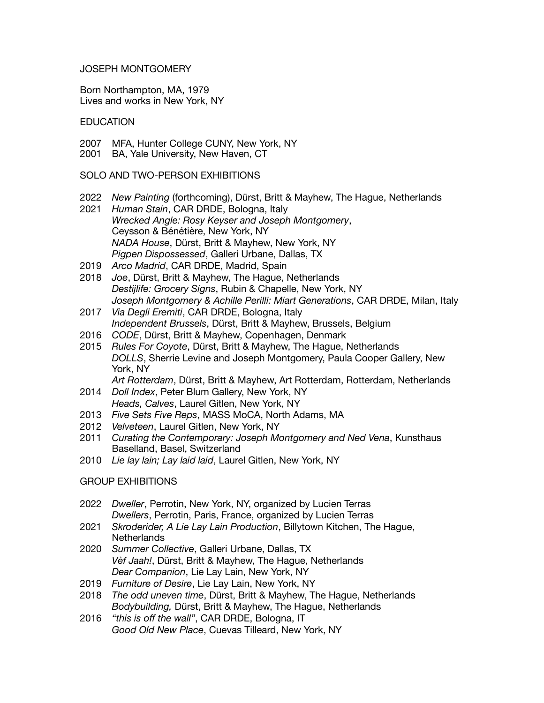## JOSEPH MONTGOMERY

Born Northampton, MA, 1979 Lives and works in New York, NY

## **EDUCATION**

- 2007 MFA, Hunter College CUNY, New York, NY
- 2001 BA, Yale University, New Haven, CT

SOLO AND TWO-PERSON EXHIBITIONS

- 2022 *New Painting* (forthcoming), Dürst, Britt & Mayhew, The Hague, Netherlands
- 2021 *Human Stain*, CAR DRDE, Bologna, Italy *Wrecked Angle: Rosy Keyser and Joseph Montgomery*, Ceysson & Bénétière, New York, NY *NADA House*, Dürst, Britt & Mayhew, New York, NY *Pigpen Dispossessed*, Galleri Urbane, Dallas, TX
- 2019 *Arco Madrid*, CAR DRDE, Madrid, Spain
- 2018 *Joe*, Dürst, Britt & Mayhew, The Hague, Netherlands *Destijlife: Grocery Signs*, Rubin & Chapelle, New York, NY *Joseph Montgomery & Achille Perilli: Miart Generations*, CAR DRDE, Milan, Italy
- 2017 *Via Degli Eremiti*, CAR DRDE, Bologna, Italy *Independent Brussels*, Dürst, Britt & Mayhew, Brussels, Belgium
- 2016 *CODE*, Dürst, Britt & Mayhew, Copenhagen, Denmark
- 2015 *Rules For Coyote*, Dürst, Britt & Mayhew, The Hague, Netherlands *DOLLS*, Sherrie Levine and Joseph Montgomery, Paula Cooper Gallery, New York, NY

*Art Rotterdam*, Dürst, Britt & Mayhew, Art Rotterdam, Rotterdam, Netherlands 2014 *Doll Index*, Peter Blum Gallery, New York, NY

- *Heads, Calves*, Laurel Gitlen, New York, NY
- 2013 *Five Sets Five Reps*, MASS MoCA, North Adams, MA
- 2012 *Velveteen*, Laurel Gitlen, New York, NY
- 2011 *Curating the Contemporary: Joseph Montgomery and Ned Vena*, Kunsthaus Baselland, Basel, Switzerland
- 2010 *Lie lay lain; Lay laid laid*, Laurel Gitlen, New York, NY

# GROUP EXHIBITIONS

- 2022 *Dweller*, Perrotin, New York, NY, organized by Lucien Terras *Dwellers*, Perrotin, Paris, France, organized by Lucien Terras
- 2021 *Skroderider, A Lie Lay Lain Production*, Billytown Kitchen, The Hague, **Netherlands**
- 2020 *Summer Collective*, Galleri Urbane, Dallas, TX *Vèf Jaah!*, Dürst, Britt & Mayhew, The Hague, Netherlands *Dear Companion*, Lie Lay Lain, New York, NY
- 2019 *Furniture of Desire*, Lie Lay Lain, New York, NY
- 2018 *The odd uneven time*, Dürst, Britt & Mayhew, The Hague, Netherlands *Bodybuilding,* Dürst, Britt & Mayhew, The Hague, Netherlands
- 2016 *"this is off the wall"*, CAR DRDE, Bologna, IT *Good Old New Place*, Cuevas Tilleard, New York, NY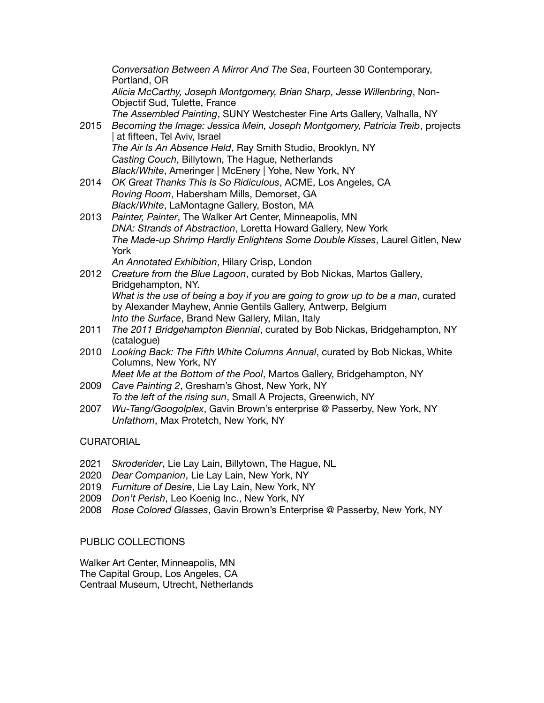*Conversation Between A Mirror And The Sea*, Fourteen 30 Contemporary, Portland, OR *Alicia McCarthy, Joseph Montgomery, Brian Sharp, Jesse Willenbring*, Non-Objectif Sud, Tulette, France *The Assembled Painting*, SUNY Westchester Fine Arts Gallery, Valhalla, NY 2015 *Becoming the Image: Jessica Mein, Joseph Montgomery, Patricia Treib*, projects | at fifteen, Tel Aviv, Israel *The Air Is An Absence Held*, Ray Smith Studio, Brooklyn, NY *Casting Couch*, Billytown, The Hague, Netherlands *Black/White*, Ameringer | McEnery | Yohe, New York, NY 2014 *OK Great Thanks This Is So Ridiculous*, ACME, Los Angeles, CA *Roving Room*, Habersham Mills, Demorset, GA *Black/White*, LaMontagne Gallery, Boston, MA 2013 *Painter, Painter*, The Walker Art Center, Minneapolis, MN *DNA: Strands of Abstraction*, Loretta Howard Gallery, New York *The Made-up Shrimp Hardly Enlightens Some Double Kisses*, Laurel Gitlen, New York *An Annotated Exhibition*, Hilary Crisp, London 2012 *Creature from the Blue Lagoon*, curated by Bob Nickas, Martos Gallery, Bridgehampton, NY. *What is the use of being a boy if you are going to grow up to be a man*, curated by Alexander Mayhew, Annie Gentils Gallery, Antwerp, Belgium *Into the Surface*, Brand New Gallery, Milan, Italy

- 2011 *The 2011 Bridgehampton Biennial*, curated by Bob Nickas, Bridgehampton, NY (catalogue)
- 2010 *Looking Back: The Fifth White Columns Annual*, curated by Bob Nickas, White Columns, New York, NY
- *Meet Me at the Bottom of the Pool*, Martos Gallery, Bridgehampton, NY 2009 *Cave Painting 2*, Gresham's Ghost, New York, NY

*To the left of the rising sun*, Small A Projects, Greenwich, NY

2007 *Wu-Tang/Googolplex*, Gavin Brown's enterprise @ Passerby, New York, NY *Unfathom*, Max Protetch, New York, NY

# **CURATORIAL**

- 2021 *Skroderider*, Lie Lay Lain, Billytown, The Hague, NL
- 2020 *Dear Companion*, Lie Lay Lain, New York, NY
- 2019 *Furniture of Desire*, Lie Lay Lain, New York, NY
- 2009 *Don't Perish*, Leo Koenig Inc., New York, NY
- 2008 *Rose Colored Glasses*, Gavin Brown's Enterprise @ Passerby, New York, NY

#### PUBLIC COLLECTIONS

Walker Art Center, Minneapolis, MN The Capital Group, Los Angeles, CA Centraal Museum, Utrecht, Netherlands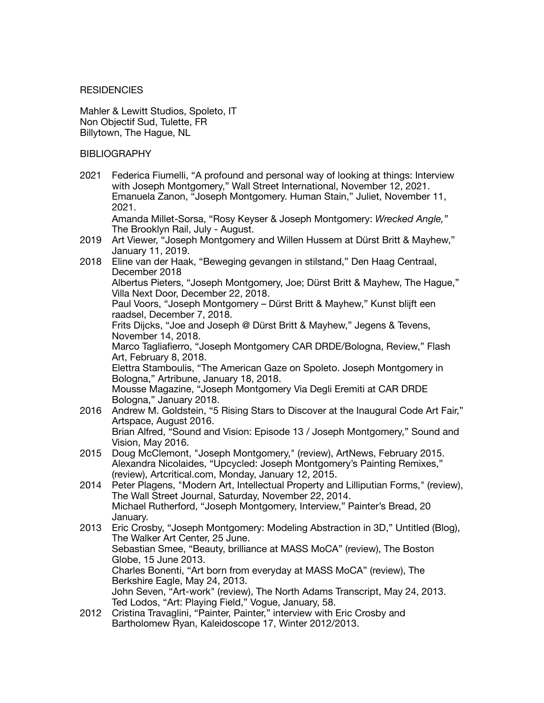#### **RESIDENCIES**

Mahler & Lewitt Studios, Spoleto, IT Non Objectif Sud, Tulette, FR Billytown, The Hague, NL

### **BIBLIOGRAPHY**

2021 Federica Fiumelli, "A profound and personal way of looking at things: Interview with Joseph Montgomery," Wall Street International, November 12, 2021. Emanuela Zanon, "Joseph Montgomery. Human Stain," Juliet, November 11, 2021.

Amanda Millet-Sorsa, "Rosy Keyser & Joseph Montgomery: *Wrecked Angle,"*  The Brooklyn Rail, July - August.

- 2019 Art Viewer, "Joseph Montgomery and Willen Hussem at Dürst Britt & Mayhew," January 11, 2019.
- 2018 Eline van der Haak, "Beweging gevangen in stilstand," Den Haag Centraal, December 2018 Albertus Pieters, "Joseph Montgomery, Joe; Dürst Britt & Mayhew, The Hague," Villa Next Door, December 22, 2018. Paul Voors, "Joseph Montgomery – Dürst Britt & Mayhew," Kunst blijft een raadsel, December 7, 2018. Frits Dijcks, "Joe and Joseph @ Dürst Britt & Mayhew," Jegens & Tevens, November 14, 2018. Marco Tagliafierro, "Joseph Montgomery CAR DRDE/Bologna, Review," Flash Art, February 8, 2018. Elettra Stamboulis, "The American Gaze on Spoleto. Joseph Montgomery in Bologna," Artribune, January 18, 2018. Mousse Magazine, "Joseph Montgomery Via Degli Eremiti at CAR DRDE Bologna," January 2018. 2016 Andrew M. Goldstein, "5 Rising Stars to Discover at the Inaugural Code Art Fair,"
- Artspace, August 2016. Brian Alfred, "Sound and Vision: Episode 13 / Joseph Montgomery," Sound and Vision, May 2016.
- 2015 Doug McClemont, "Joseph Montgomery," (review), ArtNews, February 2015. Alexandra Nicolaides, "Upcycled: Joseph Montgomery's Painting Remixes," (review), Artcritical.com, Monday, January 12, 2015.
- 2014 Peter Plagens, "Modern Art, Intellectual Property and Lilliputian Forms," (review), The Wall Street Journal, Saturday, November 22, 2014. Michael Rutherford, "Joseph Montgomery, Interview," Painter's Bread, 20 January.
- 2013 Eric Crosby, "Joseph Montgomery: Modeling Abstraction in 3D," Untitled (Blog), The Walker Art Center, 25 June. Sebastian Smee, "Beauty, brilliance at MASS MoCA" (review), The Boston Globe, 15 June 2013. Charles Bonenti, "Art born from everyday at MASS MoCA" (review), The Berkshire Eagle, May 24, 2013. John Seven, "Art-work" (review), The North Adams Transcript, May 24, 2013. Ted Lodos, "Art: Playing Field," Vogue, January, 58.
- 2012 Cristina Travaglini, "Painter, Painter," interview with Eric Crosby and Bartholomew Ryan, Kaleidoscope 17, Winter 2012/2013.